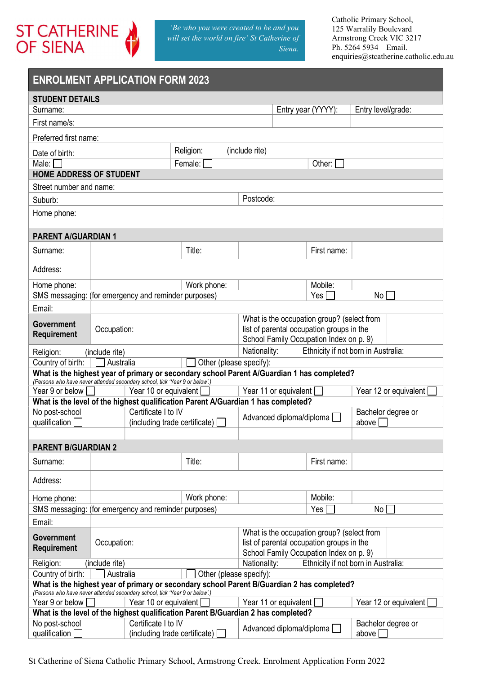

# ENROLMENT APPLICATION FORM 2023

| <b>STUDENT DETAILS</b>                                                             |                                                                       |                               |                                                                                   |                                                                                                                                    |                                                                                            |                             |  |
|------------------------------------------------------------------------------------|-----------------------------------------------------------------------|-------------------------------|-----------------------------------------------------------------------------------|------------------------------------------------------------------------------------------------------------------------------------|--------------------------------------------------------------------------------------------|-----------------------------|--|
| Surname:                                                                           |                                                                       |                               |                                                                                   |                                                                                                                                    | Entry year (YYYY):                                                                         | Entry level/grade:          |  |
| First name/s:                                                                      |                                                                       |                               |                                                                                   |                                                                                                                                    |                                                                                            |                             |  |
| Preferred first name:                                                              |                                                                       |                               |                                                                                   |                                                                                                                                    |                                                                                            |                             |  |
| Date of birth:                                                                     |                                                                       |                               | Religion:                                                                         | (include rite)                                                                                                                     |                                                                                            |                             |  |
| Male: $\Box$                                                                       |                                                                       |                               | Female:                                                                           |                                                                                                                                    | Other:                                                                                     |                             |  |
| <b>HOME ADDRESS OF STUDENT</b>                                                     |                                                                       |                               |                                                                                   |                                                                                                                                    |                                                                                            |                             |  |
| Street number and name:                                                            |                                                                       |                               |                                                                                   |                                                                                                                                    |                                                                                            |                             |  |
| Suburb:                                                                            |                                                                       |                               |                                                                                   | Postcode:                                                                                                                          |                                                                                            |                             |  |
| Home phone:                                                                        |                                                                       |                               |                                                                                   |                                                                                                                                    |                                                                                            |                             |  |
|                                                                                    |                                                                       |                               |                                                                                   |                                                                                                                                    |                                                                                            |                             |  |
| <b>PARENT A/GUARDIAN 1</b>                                                         |                                                                       |                               |                                                                                   |                                                                                                                                    |                                                                                            |                             |  |
| Surname:                                                                           |                                                                       |                               | Title:                                                                            |                                                                                                                                    | First name:                                                                                |                             |  |
| Address:                                                                           |                                                                       |                               |                                                                                   |                                                                                                                                    |                                                                                            |                             |  |
| Home phone:                                                                        |                                                                       |                               | Work phone:                                                                       |                                                                                                                                    | Mobile:                                                                                    |                             |  |
| SMS messaging: (for emergency and reminder purposes)                               |                                                                       |                               |                                                                                   |                                                                                                                                    | Yes                                                                                        | No                          |  |
| Email:                                                                             |                                                                       |                               |                                                                                   |                                                                                                                                    |                                                                                            |                             |  |
| Government<br>Requirement                                                          | Occupation:                                                           |                               |                                                                                   | What is the occupation group? (select from<br>list of parental occupation groups in the<br>School Family Occupation Index on p. 9) |                                                                                            |                             |  |
| Ethnicity if not born in Australia:<br>Nationality:<br>(include rite)<br>Religion: |                                                                       |                               |                                                                                   |                                                                                                                                    |                                                                                            |                             |  |
| Country of birth:                                                                  | Australia                                                             |                               | Other (please specify):                                                           |                                                                                                                                    |                                                                                            |                             |  |
| (Persons who have never attended secondary school, tick 'Year 9 or below'.)        |                                                                       |                               |                                                                                   |                                                                                                                                    | What is the highest year of primary or secondary school Parent A/Guardian 1 has completed? |                             |  |
| Year 9 or below [                                                                  |                                                                       | Year 10 or equivalent [       |                                                                                   |                                                                                                                                    | Year 11 or equivalent [                                                                    | Year 12 or equivalent       |  |
|                                                                                    |                                                                       |                               | What is the level of the highest qualification Parent A/Guardian 1 has completed? |                                                                                                                                    |                                                                                            |                             |  |
| No post-school<br>qualification                                                    |                                                                       | Certificate I to IV           | (including trade certificate) [                                                   | Advanced diploma/diploma                                                                                                           |                                                                                            | Bachelor degree or<br>above |  |
|                                                                                    |                                                                       |                               |                                                                                   |                                                                                                                                    |                                                                                            |                             |  |
| <b>PARENT B/GUARDIAN 2</b>                                                         |                                                                       |                               |                                                                                   |                                                                                                                                    |                                                                                            |                             |  |
| Surname:                                                                           |                                                                       |                               | Title:                                                                            |                                                                                                                                    | First name:                                                                                |                             |  |
| Address:                                                                           |                                                                       |                               |                                                                                   |                                                                                                                                    |                                                                                            |                             |  |
| Home phone:                                                                        |                                                                       |                               | Work phone:                                                                       |                                                                                                                                    | Mobile:                                                                                    |                             |  |
| SMS messaging: (for emergency and reminder purposes)                               |                                                                       |                               |                                                                                   |                                                                                                                                    | Yes I                                                                                      | No                          |  |
| Email:                                                                             |                                                                       |                               |                                                                                   |                                                                                                                                    |                                                                                            |                             |  |
| <b>Government</b>                                                                  | Occupation:                                                           |                               |                                                                                   | What is the occupation group? (select from<br>list of parental occupation groups in the                                            |                                                                                            |                             |  |
| Requirement                                                                        |                                                                       |                               |                                                                                   |                                                                                                                                    | School Family Occupation Index on p. 9)                                                    |                             |  |
| Religion:                                                                          | Ethnicity if not born in Australia:<br>(include rite)<br>Nationality: |                               |                                                                                   |                                                                                                                                    |                                                                                            |                             |  |
| Country of birth:                                                                  | Australia                                                             |                               | Other (please specify):                                                           |                                                                                                                                    |                                                                                            |                             |  |
| (Persons who have never attended secondary school, tick 'Year 9 or below'.)        |                                                                       |                               |                                                                                   |                                                                                                                                    | What is the highest year of primary or secondary school Parent B/Guardian 2 has completed? |                             |  |
| Year 9 or below                                                                    |                                                                       | Year 10 or equivalent         |                                                                                   |                                                                                                                                    | Year 11 or equivalent                                                                      | Year 12 or equivalent       |  |
|                                                                                    |                                                                       |                               | What is the level of the highest qualification Parent B/Guardian 2 has completed? |                                                                                                                                    |                                                                                            |                             |  |
| No post-school                                                                     |                                                                       | Certificate I to IV           |                                                                                   |                                                                                                                                    | Advanced diploma/diploma                                                                   | Bachelor degree or          |  |
| qualification                                                                      |                                                                       | (including trade certificate) |                                                                                   |                                                                                                                                    |                                                                                            | above $\Box$                |  |

St Catherine of Siena Catholic Primary School, Armstrong Creek. Enrolment Application Form 2022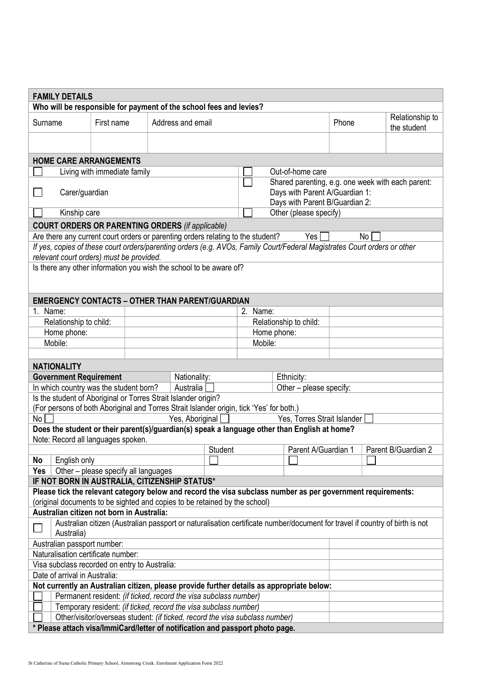| <b>FAMILY DETAILS</b>                                                                                                                                                                     |                                    |                                                                  |                   |                                |                                                   |                                |       |    |                                |
|-------------------------------------------------------------------------------------------------------------------------------------------------------------------------------------------|------------------------------------|------------------------------------------------------------------|-------------------|--------------------------------|---------------------------------------------------|--------------------------------|-------|----|--------------------------------|
| Who will be responsible for payment of the school fees and levies?                                                                                                                        |                                    |                                                                  |                   |                                |                                                   |                                |       |    |                                |
| Surname                                                                                                                                                                                   | First name                         |                                                                  | Address and email |                                |                                                   |                                | Phone |    | Relationship to<br>the student |
|                                                                                                                                                                                           |                                    |                                                                  |                   |                                |                                                   |                                |       |    |                                |
| <b>HOME CARE ARRANGEMENTS</b>                                                                                                                                                             |                                    |                                                                  |                   |                                |                                                   |                                |       |    |                                |
|                                                                                                                                                                                           | Living with immediate family       |                                                                  |                   |                                |                                                   | Out-of-home care               |       |    |                                |
|                                                                                                                                                                                           |                                    |                                                                  |                   |                                | Shared parenting, e.g. one week with each parent: |                                |       |    |                                |
| Carer/guardian                                                                                                                                                                            |                                    |                                                                  |                   | Days with Parent A/Guardian 1: |                                                   |                                |       |    |                                |
|                                                                                                                                                                                           |                                    |                                                                  |                   |                                |                                                   | Days with Parent B/Guardian 2: |       |    |                                |
| Kinship care                                                                                                                                                                              |                                    |                                                                  |                   |                                |                                                   | Other (please specify)         |       |    |                                |
| <b>COURT ORDERS OR PARENTING ORDERS (if applicable)</b>                                                                                                                                   |                                    |                                                                  |                   |                                |                                                   |                                |       |    |                                |
| Are there any current court orders or parenting orders relating to the student?                                                                                                           |                                    |                                                                  |                   |                                |                                                   | Yes                            |       | No |                                |
| If yes, copies of these court orders/parenting orders (e.g. AVOs, Family Court/Federal Magistrates Court orders or other                                                                  |                                    |                                                                  |                   |                                |                                                   |                                |       |    |                                |
| relevant court orders) must be provided.<br>Is there any other information you wish the school to be aware of?                                                                            |                                    |                                                                  |                   |                                |                                                   |                                |       |    |                                |
|                                                                                                                                                                                           |                                    |                                                                  |                   |                                |                                                   |                                |       |    |                                |
|                                                                                                                                                                                           |                                    |                                                                  |                   |                                |                                                   |                                |       |    |                                |
| <b>EMERGENCY CONTACTS - OTHER THAN PARENT/GUARDIAN</b>                                                                                                                                    |                                    |                                                                  |                   |                                |                                                   |                                |       |    |                                |
| $1_{-}$<br>Name:                                                                                                                                                                          |                                    |                                                                  |                   |                                | 2. Name:                                          |                                |       |    |                                |
| Relationship to child:                                                                                                                                                                    |                                    |                                                                  |                   |                                |                                                   | Relationship to child:         |       |    |                                |
| Home phone:                                                                                                                                                                               |                                    |                                                                  |                   |                                |                                                   | Home phone:                    |       |    |                                |
| Mobile:                                                                                                                                                                                   |                                    |                                                                  |                   |                                | Mobile:                                           |                                |       |    |                                |
|                                                                                                                                                                                           |                                    |                                                                  |                   |                                |                                                   |                                |       |    |                                |
| <b>NATIONALITY</b>                                                                                                                                                                        |                                    |                                                                  |                   |                                |                                                   |                                |       |    |                                |
| <b>Government Requirement</b>                                                                                                                                                             |                                    |                                                                  | Nationality:      |                                |                                                   | Ethnicity:                     |       |    |                                |
| In which country was the student born?                                                                                                                                                    |                                    |                                                                  | Australia         | Other - please specify:        |                                                   |                                |       |    |                                |
| Is the student of Aboriginal or Torres Strait Islander origin?<br>(For persons of both Aboriginal and Torres Strait Islander origin, tick 'Yes' for both.)                                |                                    |                                                                  |                   |                                |                                                   |                                |       |    |                                |
| No                                                                                                                                                                                        |                                    |                                                                  | Yes, Aboriginal   |                                |                                                   | Yes, Torres Strait Islander    |       |    |                                |
| Does the student or their parent(s)/guardian(s) speak a language other than English at home?                                                                                              |                                    |                                                                  |                   |                                |                                                   |                                |       |    |                                |
| Note: Record all languages spoken.                                                                                                                                                        |                                    |                                                                  |                   |                                |                                                   |                                |       |    |                                |
|                                                                                                                                                                                           |                                    |                                                                  |                   | Student                        |                                                   | Parent A/Guardian 1            |       |    | Parent B/Guardian 2            |
| English only<br>No                                                                                                                                                                        |                                    |                                                                  |                   |                                |                                                   |                                |       |    |                                |
| Yes                                                                                                                                                                                       |                                    | Other - please specify all languages                             |                   |                                |                                                   |                                |       |    |                                |
| IF NOT BORN IN AUSTRALIA, CITIZENSHIP STATUS*                                                                                                                                             |                                    |                                                                  |                   |                                |                                                   |                                |       |    |                                |
| Please tick the relevant category below and record the visa subclass number as per government requirements:<br>(original documents to be sighted and copies to be retained by the school) |                                    |                                                                  |                   |                                |                                                   |                                |       |    |                                |
| Australian citizen not born in Australia:                                                                                                                                                 |                                    |                                                                  |                   |                                |                                                   |                                |       |    |                                |
|                                                                                                                                                                                           |                                    |                                                                  |                   |                                |                                                   |                                |       |    |                                |
| Australian citizen (Australian passport or naturalisation certificate number/document for travel if country of birth is not<br>Australia)                                                 |                                    |                                                                  |                   |                                |                                                   |                                |       |    |                                |
| Australian passport number:                                                                                                                                                               |                                    |                                                                  |                   |                                |                                                   |                                |       |    |                                |
|                                                                                                                                                                                           | Naturalisation certificate number: |                                                                  |                   |                                |                                                   |                                |       |    |                                |
| Visa subclass recorded on entry to Australia:                                                                                                                                             |                                    |                                                                  |                   |                                |                                                   |                                |       |    |                                |
| Date of arrival in Australia:<br>Not currently an Australian citizen, please provide further details as appropriate below:                                                                |                                    |                                                                  |                   |                                |                                                   |                                |       |    |                                |
|                                                                                                                                                                                           |                                    | Permanent resident: (if ticked, record the visa subclass number) |                   |                                |                                                   |                                |       |    |                                |
|                                                                                                                                                                                           |                                    | Temporary resident: (if ticked, record the visa subclass number) |                   |                                |                                                   |                                |       |    |                                |
|                                                                                                                                                                                           |                                    |                                                                  |                   |                                |                                                   |                                |       |    |                                |
| Other/visitor/overseas student: (if ticked, record the visa subclass number)<br>* Please attach visa/ImmiCard/letter of notification and passport photo page.                             |                                    |                                                                  |                   |                                |                                                   |                                |       |    |                                |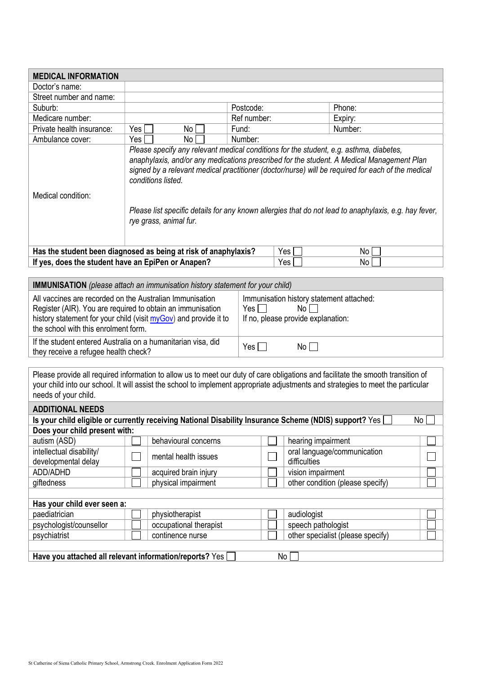| <b>MEDICAL INFORMATION</b>                                                                                                                                                                                                                                                                   |                                                                                                                                                                                                                                                                                                                                                                                                                                                   |                        |  |             |                    |                                   |    |
|----------------------------------------------------------------------------------------------------------------------------------------------------------------------------------------------------------------------------------------------------------------------------------------------|---------------------------------------------------------------------------------------------------------------------------------------------------------------------------------------------------------------------------------------------------------------------------------------------------------------------------------------------------------------------------------------------------------------------------------------------------|------------------------|--|-------------|--------------------|-----------------------------------|----|
| Doctor's name:                                                                                                                                                                                                                                                                               |                                                                                                                                                                                                                                                                                                                                                                                                                                                   |                        |  |             |                    |                                   |    |
| Street number and name:                                                                                                                                                                                                                                                                      |                                                                                                                                                                                                                                                                                                                                                                                                                                                   |                        |  |             |                    |                                   |    |
| Suburb:                                                                                                                                                                                                                                                                                      |                                                                                                                                                                                                                                                                                                                                                                                                                                                   |                        |  | Postcode:   |                    | Phone:                            |    |
| Medicare number:                                                                                                                                                                                                                                                                             |                                                                                                                                                                                                                                                                                                                                                                                                                                                   |                        |  | Ref number: |                    | Expiry:                           |    |
| Private health insurance:                                                                                                                                                                                                                                                                    | Yes                                                                                                                                                                                                                                                                                                                                                                                                                                               | No                     |  | Fund:       |                    | Number:                           |    |
| Ambulance cover:                                                                                                                                                                                                                                                                             | Yes                                                                                                                                                                                                                                                                                                                                                                                                                                               | No.                    |  | Number:     |                    |                                   |    |
| Medical condition:                                                                                                                                                                                                                                                                           | Please specify any relevant medical conditions for the student, e.g. asthma, diabetes,<br>anaphylaxis, and/or any medications prescribed for the student. A Medical Management Plan<br>signed by a relevant medical practitioner (doctor/nurse) will be required for each of the medical<br>conditions listed.<br>Please list specific details for any known allergies that do not lead to anaphylaxis, e.g. hay fever,<br>rye grass, animal fur. |                        |  |             |                    |                                   |    |
| Has the student been diagnosed as being at risk of anaphylaxis?                                                                                                                                                                                                                              |                                                                                                                                                                                                                                                                                                                                                                                                                                                   |                        |  |             | Yes                | No                                |    |
| If yes, does the student have an EpiPen or Anapen?                                                                                                                                                                                                                                           |                                                                                                                                                                                                                                                                                                                                                                                                                                                   |                        |  |             | Yes                | No                                |    |
|                                                                                                                                                                                                                                                                                              |                                                                                                                                                                                                                                                                                                                                                                                                                                                   |                        |  |             |                    |                                   |    |
| <b>IMMUNISATION</b> (please attach an immunisation history statement for your child)                                                                                                                                                                                                         |                                                                                                                                                                                                                                                                                                                                                                                                                                                   |                        |  |             |                    |                                   |    |
|                                                                                                                                                                                                                                                                                              | All vaccines are recorded on the Australian Immunisation<br>Immunisation history statement attached:<br>Register (AIR). You are required to obtain an immunisation<br>No<br>Yes I<br>history statement for your child (visit myGov) and provide it to<br>If no, please provide explanation:<br>the school with this enrolment form.                                                                                                               |                        |  |             |                    |                                   |    |
| If the student entered Australia on a humanitarian visa, did<br>they receive a refugee health check?                                                                                                                                                                                         |                                                                                                                                                                                                                                                                                                                                                                                                                                                   |                        |  | $Yes \Box$  | $No$ $\Box$        |                                   |    |
| Please provide all required information to allow us to meet our duty of care obligations and facilitate the smooth transition of<br>your child into our school. It will assist the school to implement appropriate adjustments and strategies to meet the particular<br>needs of your child. |                                                                                                                                                                                                                                                                                                                                                                                                                                                   |                        |  |             |                    |                                   |    |
| <b>ADDITIONAL NEEDS</b>                                                                                                                                                                                                                                                                      |                                                                                                                                                                                                                                                                                                                                                                                                                                                   |                        |  |             |                    |                                   |    |
| Is your child eligible or currently receiving National Disability Insurance Scheme (NDIS) support? Yes                                                                                                                                                                                       |                                                                                                                                                                                                                                                                                                                                                                                                                                                   |                        |  |             |                    |                                   | No |
| Does your child present with:                                                                                                                                                                                                                                                                |                                                                                                                                                                                                                                                                                                                                                                                                                                                   |                        |  |             |                    |                                   |    |
| autism (ASD)                                                                                                                                                                                                                                                                                 |                                                                                                                                                                                                                                                                                                                                                                                                                                                   | behavioural concerns   |  |             | hearing impairment |                                   |    |
| intellectual disability/                                                                                                                                                                                                                                                                     |                                                                                                                                                                                                                                                                                                                                                                                                                                                   | mental health issues   |  |             | difficulties       | oral language/communication       |    |
| developmental delay<br>ADD/ADHD                                                                                                                                                                                                                                                              |                                                                                                                                                                                                                                                                                                                                                                                                                                                   | acquired brain injury  |  |             | vision impairment  |                                   |    |
| giftedness                                                                                                                                                                                                                                                                                   |                                                                                                                                                                                                                                                                                                                                                                                                                                                   | physical impairment    |  |             |                    | other condition (please specify)  |    |
|                                                                                                                                                                                                                                                                                              |                                                                                                                                                                                                                                                                                                                                                                                                                                                   |                        |  |             |                    |                                   |    |
| Has your child ever seen a:                                                                                                                                                                                                                                                                  |                                                                                                                                                                                                                                                                                                                                                                                                                                                   |                        |  |             |                    |                                   |    |
| paediatrician                                                                                                                                                                                                                                                                                |                                                                                                                                                                                                                                                                                                                                                                                                                                                   | physiotherapist        |  |             | audiologist        |                                   |    |
| psychologist/counsellor                                                                                                                                                                                                                                                                      |                                                                                                                                                                                                                                                                                                                                                                                                                                                   | occupational therapist |  |             | speech pathologist |                                   |    |
| psychiatrist                                                                                                                                                                                                                                                                                 |                                                                                                                                                                                                                                                                                                                                                                                                                                                   | continence nurse       |  |             |                    | other specialist (please specify) |    |
|                                                                                                                                                                                                                                                                                              |                                                                                                                                                                                                                                                                                                                                                                                                                                                   |                        |  |             |                    |                                   |    |
| Have you attached all relevant information/reports? Yes                                                                                                                                                                                                                                      |                                                                                                                                                                                                                                                                                                                                                                                                                                                   |                        |  |             | No                 |                                   |    |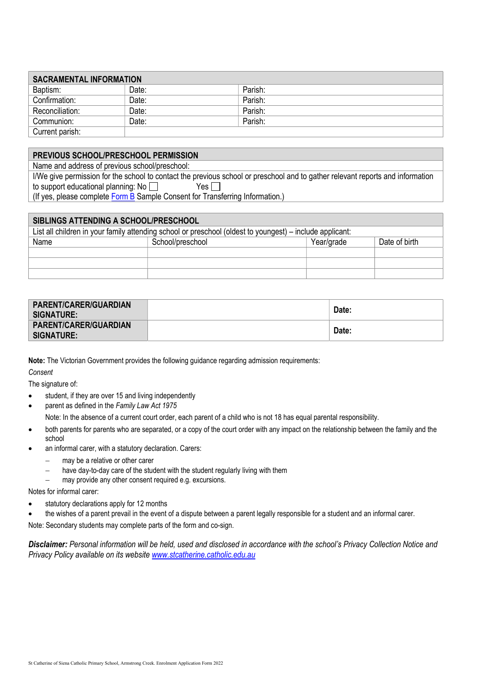| <b>SACRAMENTAL INFORMATION</b> |       |         |  |  |  |
|--------------------------------|-------|---------|--|--|--|
| Baptism:                       | Date: | Parish: |  |  |  |
| Confirmation:                  | Date: | Parish: |  |  |  |
| Reconciliation:                | Date: | Parish: |  |  |  |
| Communion:                     | Date: | Parish: |  |  |  |
| Current parish:                |       |         |  |  |  |

### PREVIOUS SCHOOL/PRESCHOOL PERMISSION

Name and address of previous school/preschool:

I/We give permission for the school to contact the previous school or preschool and to gather relevant reports and information to support educational planning: No  $\Box$  Yes  $\Box$ 

(If yes, please complete  $Form B$  Sample Consent for Transferring Information.)

| SIBLINGS ATTENDING A SCHOOL/PRESCHOOL                                                                    |                  |            |               |  |  |  |
|----------------------------------------------------------------------------------------------------------|------------------|------------|---------------|--|--|--|
| List all children in your family attending school or preschool (oldest to youngest) – include applicant: |                  |            |               |  |  |  |
| Name                                                                                                     | School/preschool | Year/grade | Date of birth |  |  |  |
|                                                                                                          |                  |            |               |  |  |  |
|                                                                                                          |                  |            |               |  |  |  |
|                                                                                                          |                  |            |               |  |  |  |

| <b>PARENT/CARER/GUARDIAN</b><br>SIGNATURE: | Date: |
|--------------------------------------------|-------|
| <b>PARENT/CARER/GUARDIAN</b><br>SIGNATURE: | Date: |

Note: The Victorian Government provides the following guidance regarding admission requirements:

**Consent** 

The signature of:

- student, if they are over 15 and living independently
- parent as defined in the Family Law Act 1975 Note: In the absence of a current court order, each parent of a child who is not 18 has equal parental responsibility.
- both parents for parents who are separated, or a copy of the court order with any impact on the relationship between the family and the school
- an informal carer, with a statutory declaration. Carers:
	- may be a relative or other carer
	- have day-to-day care of the student with the student regularly living with them
	- may provide any other consent required e.g. excursions.

Notes for informal carer:

- statutory declarations apply for 12 months
- the wishes of a parent prevail in the event of a dispute between a parent legally responsible for a student and an informal carer.

Note: Secondary students may complete parts of the form and co-sign.

Disclaimer: Personal information will be held, used and disclosed in accordance with the school's Privacy Collection Notice and Privacy Policy available on its website www.stcatherine.catholic.edu.au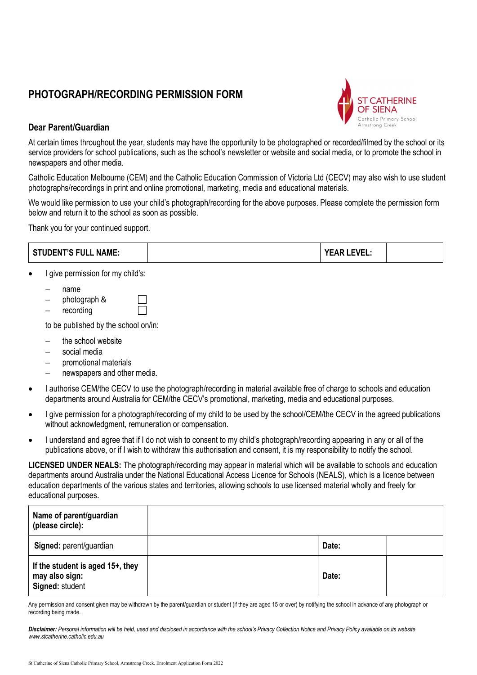# PHOTOGRAPH/RECORDING PERMISSION FORM



### Dear Parent/Guardian

At certain times throughout the year, students may have the opportunity to be photographed or recorded/filmed by the school or its service providers for school publications, such as the school's newsletter or website and social media, or to promote the school in newspapers and other media.

Catholic Education Melbourne (CEM) and the Catholic Education Commission of Victoria Ltd (CECV) may also wish to use student photographs/recordings in print and online promotional, marketing, media and educational materials.

We would like permission to use your child's photograph/recording for the above purposes. Please complete the permission form below and return it to the school as soon as possible.

Thank you for your continued support.

|           | <b>STUDENT'S FULL NAME:</b>                                                                                                                             | <b>YEAR LEVEL:</b> |  |
|-----------|---------------------------------------------------------------------------------------------------------------------------------------------------------|--------------------|--|
| $\bullet$ | give permission for my child's:                                                                                                                         |                    |  |
|           | name<br>—<br>photograph &<br>recording                                                                                                                  |                    |  |
|           | to be published by the school on/in:                                                                                                                    |                    |  |
|           | the school website<br>$\overline{\phantom{0}}$<br>social media<br>—<br>promotional materials<br>$\overline{\phantom{0}}$<br>newspapers and other media. |                    |  |

- I authorise CEM/the CECV to use the photograph/recording in material available free of charge to schools and education departments around Australia for CEM/the CECV's promotional, marketing, media and educational purposes.
- I give permission for a photograph/recording of my child to be used by the school/CEM/the CECV in the agreed publications without acknowledgment, remuneration or compensation.
- I understand and agree that if I do not wish to consent to my child's photograph/recording appearing in any or all of the publications above, or if I wish to withdraw this authorisation and consent, it is my responsibility to notify the school.

LICENSED UNDER NEALS: The photograph/recording may appear in material which will be available to schools and education departments around Australia under the National Educational Access Licence for Schools (NEALS), which is a licence between education departments of the various states and territories, allowing schools to use licensed material wholly and freely for educational purposes.

| Name of parent/guardian<br>(please circle):                           |       |  |
|-----------------------------------------------------------------------|-------|--|
| Signed: parent/guardian                                               | Date: |  |
| If the student is aged 15+, they<br>may also sign:<br>Signed: student | Date: |  |

Any permission and consent given may be withdrawn by the parent/guardian or student (if they are aged 15 or over) by notifying the school in advance of any photograph or recording being made.

Disclaimer: Personal information will be held, used and disclosed in accordance with the school's Privacy Collection Notice and Privacy Policy available on its website www.stcatherine.catholic.edu.au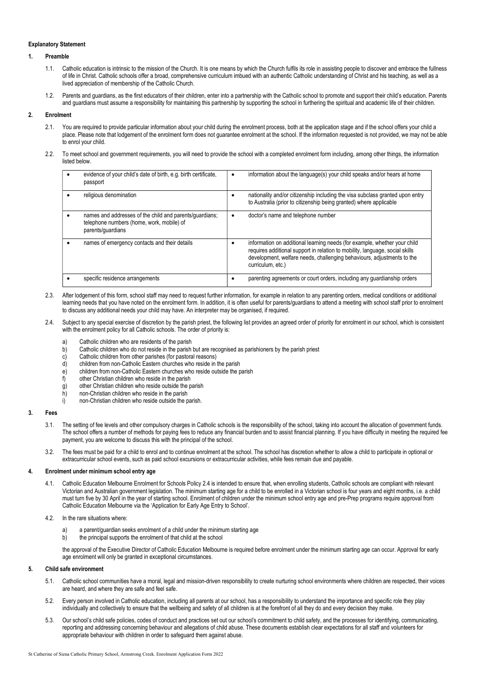#### Explanatory Statement

#### 1. Preamble

- 1.1. Catholic education is intrinsic to the mission of the Church. It is one means by which the Church fulfils its role in assisting people to discover and embrace the fullness of life in Christ. Catholic schools offer a broad, comprehensive curriculum imbued with an authentic Catholic understanding of Christ and his teaching, as well as a lived appreciation of membership of the Catholic Church.
- 1.2. Parents and guardians, as the first educators of their children, enter into a partnership with the Catholic school to promote and support their child's education. Parents and quardians must assume a responsibility for maintaining this partnership by supporting the school in furthering the spiritual and academic life of their children.

#### 2. Enrolment

- 2.1. You are required to provide particular information about your child during the enrolment process, both at the application stage and if the school offers your child a place. Please note that lodgement of the enrolment form does not guarantee enrolment at the school. If the information requested is not provided, we may not be able to enrol your child.
- 2.2. To meet school and government requirements, you will need to provide the school with a completed enrolment form including, among other things, the information listed below.

| evidence of your child's date of birth, e.g. birth certificate,<br>passport                                               | information about the language(s) your child speaks and/or hears at home                                                                                                                                                                                 |
|---------------------------------------------------------------------------------------------------------------------------|----------------------------------------------------------------------------------------------------------------------------------------------------------------------------------------------------------------------------------------------------------|
| religious denomination                                                                                                    | nationality and/or citizenship including the visa subclass granted upon entry<br>to Australia (prior to citizenship being granted) where applicable                                                                                                      |
| names and addresses of the child and parents/guardians;<br>telephone numbers (home, work, mobile) of<br>parents/guardians | doctor's name and telephone number                                                                                                                                                                                                                       |
| names of emergency contacts and their details                                                                             | information on additional learning needs (for example, whether your child<br>requires additional support in relation to mobility, language, social skills<br>development, welfare needs, challenging behaviours, adjustments to the<br>curriculum, etc.) |
| specific residence arrangements                                                                                           | parenting agreements or court orders, including any guardianship orders                                                                                                                                                                                  |

- 2.3. After lodgement of this form, school staff may need to request further information, for example in relation to any parenting orders, medical conditions or additional learning needs that you have noted on the enrolment form. In addition, it is often useful for parents/guardians to attend a meeting with school staff prior to enrolment to discuss any additional needs your child may have. An interpreter may be organised, if required.
- 2.4. Subject to any special exercise of discretion by the parish priest, the following list provides an agreed order of priority for enrolment in our school, which is consistent with the enrolment policy for all Catholic schools. The order of priority is:
	- a) Catholic children who are residents of the parish
	- b) Catholic children who do not reside in the parish but are recognised as parishioners by the parish priest
	- c) Catholic children from other parishes (for pastoral reasons)<br>d) children from non-Catholic Eastern churches who reside in
	-
	- d) children from non-Catholic Eastern churches who reside in the parish<br>e) children from non-Catholic Eastern churches who reside outside the p children from non-Catholic Eastern churches who reside outside the parish
	- f) other Christian children who reside in the parish
	-
	- g) other Christian children who reside outside the parish<br>b) non-Christian children who reside in the parish non-Christian children who reside in the parish
	- i) non-Christian children who reside outside the parish.

#### 3. Fees

- 3.1. The setting of fee levels and other compulsory charges in Catholic schools is the responsibility of the school, taking into account the allocation of government funds. The school offers a number of methods for paying fees to reduce any financial burden and to assist financial planning. If you have difficulty in meeting the required fee payment, you are welcome to discuss this with the principal of the school.
- 3.2. The fees must be paid for a child to enrol and to continue enrolment at the school. The school has discretion whether to allow a child to participate in optional or extracurricular school events, such as paid school excursions or extracurricular activities, while fees remain due and payable.

#### 4. Enrolment under minimum school entry age

- 4.1. Catholic Education Melbourne Enrolment for Schools Policy 2.4 is intended to ensure that, when enrolling students, Catholic schools are compliant with relevant Victorian and Australian government legislation. The minimum starting age for a child to be enrolled in a Victorian school is four years and eight months, i.e. a child must turn five by 30 April in the year of starting school. Enrolment of children under the minimum school entry age and pre-Prep programs require approval from Catholic Education Melbourne via the 'Application for Early Age Entry to School'.
- 4.2. In the rare situations where:
	- a parent/guardian seeks enrolment of a child under the minimum starting age
	- b) the principal supports the enrolment of that child at the school

the approval of the Executive Director of Catholic Education Melbourne is required before enrolment under the minimum starting age can occur. Approval for early age enrolment will only be granted in exceptional circumstances.

#### 5. Child safe environment

- 5.1. Catholic school communities have a moral, legal and mission-driven responsibility to create nurturing school environments where children are respected, their voices are heard, and where they are safe and feel safe.
- 5.2. Every person involved in Catholic education, including all parents at our school, has a responsibility to understand the importance and specific role they play individually and collectively to ensure that the wellbeing and safety of all children is at the forefront of all they do and every decision they make.
- 5.3. Our school's child safe policies, codes of conduct and practices set out our school's commitment to child safety, and the processes for identifying, communicating, reporting and addressing concerning behaviour and allegations of child abuse. These documents establish clear expectations for all staff and volunteers for appropriate behaviour with children in order to safeguard them against abuse.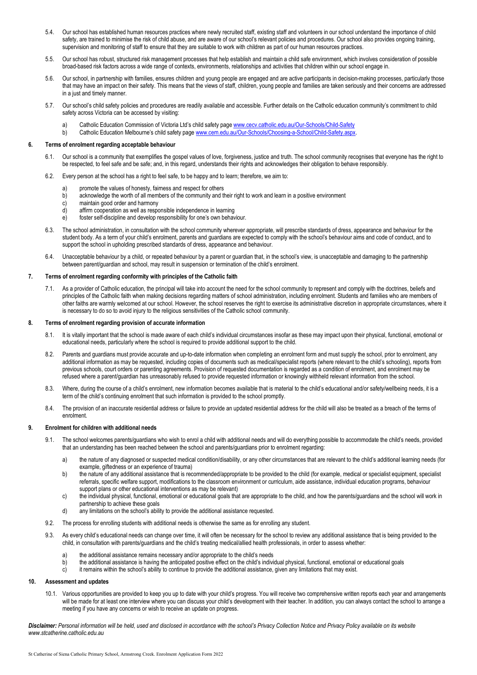- 5.4. Our school has established human resources practices where newly recruited staff, existing staff and volunteers in our school understand the importance of child safety, are trained to minimise the risk of child abuse, and are aware of our school's relevant policies and procedures. Our school also provides ongoing training, supervision and monitoring of staff to ensure that they are suitable to work with children as part of our human resources practices.
- 5.5. Our school has robust, structured risk management processes that help establish and maintain a child safe environment, which involves consideration of possible broad-based risk factors across a wide range of contexts, environments, relationships and activities that children within our school engage in.
- 5.6. Our school, in partnership with families, ensures children and young people are engaged and are active participants in decision-making processes, particularly those that may have an impact on their safety. This means that the views of staff, children, young people and families are taken seriously and their concerns are addressed in a just and timely manner.
- 5.7. Our school's child safety policies and procedures are readily available and accessible. Further details on the Catholic education community's commitment to child safety across Victoria can be accessed by visiting:
	- Catholic Education Commission of Victoria Ltd's child safety page www.cecv.catholic.edu.au/Our-Schools/Child-Safety
	- b) Catholic Education Melbourne's child safety page www.cem.edu.au/Our-Schools/Choosing-a-School/Child-Safety.aspx.

#### 6. Terms of enrolment regarding acceptable behaviour

- 6.1. Our school is a community that exemplifies the gospel values of love, forgiveness, justice and truth. The school community recognises that everyone has the right to be respected, to feel safe and be safe; and, in this regard, understands their rights and acknowledges their obligation to behave responsibly.
- 6.2. Every person at the school has a right to feel safe, to be happy and to learn; therefore, we aim to:
	- a) promote the values of honesty, fairness and respect for others<br>b) acknowledge the worth of all members of the community and t
	- acknowledge the worth of all members of the community and their right to work and learn in a positive environment
	- c) maintain good order and harmony
	- d) affirm cooperation as well as responsible independence in learning
	- e) foster self-discipline and develop responsibility for one's own behaviour.
- 6.3. The school administration, in consultation with the school community wherever appropriate, will prescribe standards of dress, appearance and behaviour for the student body. As a term of your child's enrolment, parents and guardians are expected to comply with the school's behaviour aims and code of conduct, and to support the school in upholding prescribed standards of dress, appearance and behaviour.
- 6.4. Unacceptable behaviour by a child, or repeated behaviour by a parent or guardian that, in the school's view, is unacceptable and damaging to the partnership between parent/guardian and school, may result in suspension or termination of the child's enrolment.

#### 7. Terms of enrolment regarding conformity with principles of the Catholic faith

7.1. As a provider of Catholic education, the principal will take into account the need for the school community to represent and comply with the doctrines, beliefs and principles of the Catholic faith when making decisions regarding matters of school administration, including enrolment. Students and families who are members of other faiths are warmly welcomed at our school. However, the school reserves the right to exercise its administrative discretion in appropriate circumstances, where it is necessary to do so to avoid injury to the religious sensitivities of the Catholic school community.

#### 8. Terms of enrolment regarding provision of accurate information

- It is vitally important that the school is made aware of each child's individual circumstances insofar as these may impact upon their physical, functional, emotional or educational needs, particularly where the school is required to provide additional support to the child.
- 8.2. Parents and guardians must provide accurate and up-to-date information when completing an enrolment form and must supply the school, prior to enrolment, any additional information as may be requested, including copies of documents such as medical/specialist reports (where relevant to the child's schooling), reports from previous schools, court orders or parenting agreements. Provision of requested documentation is regarded as a condition of enrolment, and enrolment may be refused where a parent/guardian has unreasonably refused to provide requested information or knowingly withheld relevant information from the school.
- 8.3. Where, during the course of a child's enrolment, new information becomes available that is material to the child's educational and/or safety/wellbeing needs, it is a term of the child's continuing enrolment that such information is provided to the school promptly.
- 8.4. The provision of an inaccurate residential address or failure to provide an updated residential address for the child will also be treated as a breach of the terms of enrolment.

#### 9. Enrolment for children with additional needs

- 9.1. The school welcomes parents/guardians who wish to enrol a child with additional needs and will do everything possible to accommodate the child's needs, provided that an understanding has been reached between the school and parents/guardians prior to enrolment regarding:
	- a) the nature of any diagnosed or suspected medical condition/disability, or any other circumstances that are relevant to the child's additional learning needs (for example, giftedness or an experience of trauma)
	- b) the nature of any additional assistance that is recommended/appropriate to be provided to the child (for example, medical or specialist equipment, specialist referrals, specific welfare support, modifications to the classroom environment or curriculum, aide assistance, individual education programs, behaviour support plans or other educational interventions as may be relevant)
	- c) the individual physical, functional, emotional or educational goals that are appropriate to the child, and how the parents/guardians and the school will work in partnership to achieve these goals
	- d) any limitations on the school's ability to provide the additional assistance requested.
- 9.2. The process for enrolling students with additional needs is otherwise the same as for enrolling any student.
- 9.3. As every child's educational needs can change over time, it will often be necessary for the school to review any additional assistance that is being provided to the child, in consultation with parents/guardians and the child's treating medical/allied health professionals, in order to assess whether:
	- a) the additional assistance remains necessary and/or appropriate to the child's needs
	- b) the additional assistance is having the anticipated positive effect on the child's individual physical, functional, emotional or educational goals<br>it remains within the school's ability to continue to provide the additi
	- c) it remains within the school's ability to continue to provide the additional assistance, given any limitations that may exist.

#### 10. Assessment and updates

10.1. Various opportunities are provided to keep you up to date with your child's progress. You will receive two comprehensive written reports each year and arrangements will be made for at least one interview where you can discuss your child's development with their teacher. In addition, you can always contact the school to arrange a meeting if you have any concerns or wish to receive an update on progress.

Disclaimer: Personal information will be held, used and disclosed in accordance with the school's Privacy Collection Notice and Privacy Policy available on its website www.stcatherine.catholic.edu.au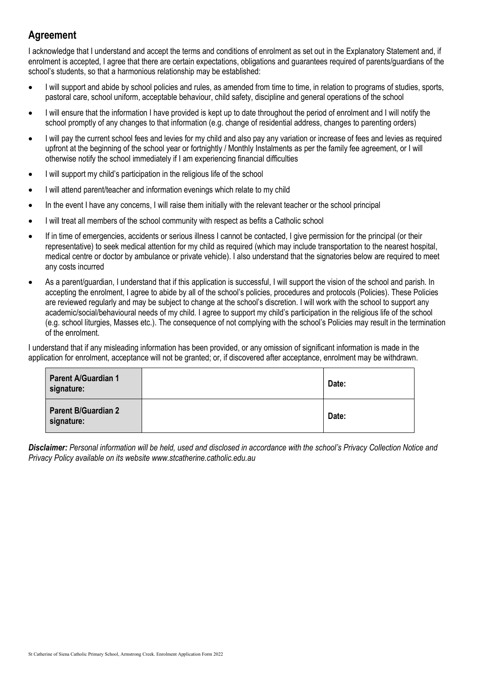# Agreement

I acknowledge that I understand and accept the terms and conditions of enrolment as set out in the Explanatory Statement and, if enrolment is accepted, I agree that there are certain expectations, obligations and guarantees required of parents/guardians of the school's students, so that a harmonious relationship may be established:

- I will support and abide by school policies and rules, as amended from time to time, in relation to programs of studies, sports, pastoral care, school uniform, acceptable behaviour, child safety, discipline and general operations of the school
- I will ensure that the information I have provided is kept up to date throughout the period of enrolment and I will notify the school promptly of any changes to that information (e.g. change of residential address, changes to parenting orders)
- I will pay the current school fees and levies for my child and also pay any variation or increase of fees and levies as required upfront at the beginning of the school year or fortnightly / Monthly Instalments as per the family fee agreement, or I will otherwise notify the school immediately if I am experiencing financial difficulties
- I will support my child's participation in the religious life of the school
- I will attend parent/teacher and information evenings which relate to my child
- In the event I have any concerns, I will raise them initially with the relevant teacher or the school principal
- I will treat all members of the school community with respect as befits a Catholic school
- If in time of emergencies, accidents or serious illness I cannot be contacted, I give permission for the principal (or their representative) to seek medical attention for my child as required (which may include transportation to the nearest hospital, medical centre or doctor by ambulance or private vehicle). I also understand that the signatories below are required to meet any costs incurred
- As a parent/guardian, I understand that if this application is successful, I will support the vision of the school and parish. In accepting the enrolment, I agree to abide by all of the school's policies, procedures and protocols (Policies). These Policies are reviewed regularly and may be subject to change at the school's discretion. I will work with the school to support any academic/social/behavioural needs of my child. I agree to support my child's participation in the religious life of the school (e.g. school liturgies, Masses etc.). The consequence of not complying with the school's Policies may result in the termination of the enrolment.

I understand that if any misleading information has been provided, or any omission of significant information is made in the application for enrolment, acceptance will not be granted; or, if discovered after acceptance, enrolment may be withdrawn.

| <b>Parent A/Guardian 1</b><br>signature: | Date: |
|------------------------------------------|-------|
| <b>Parent B/Guardian 2</b><br>signature: | Date: |

Disclaimer: Personal information will be held, used and disclosed in accordance with the school's Privacy Collection Notice and Privacy Policy available on its website www.stcatherine.catholic.edu.au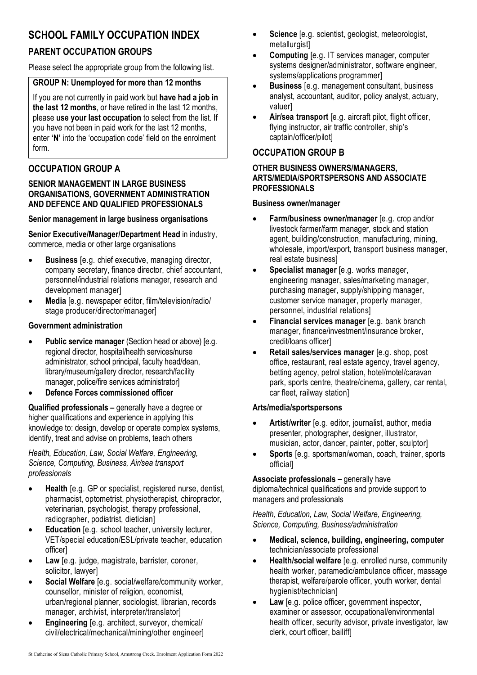# SCHOOL FAMILY OCCUPATION INDEX

# PARENT OCCUPATION GROUPS

Please select the appropriate group from the following list.

### GROUP N: Unemployed for more than 12 months

If you are not currently in paid work but have had a job in the last 12 months, or have retired in the last 12 months, please use your last occupation to select from the list. If you have not been in paid work for the last 12 months, enter 'N' into the 'occupation code' field on the enrolment form.

## OCCUPATION GROUP A

### SENIOR MANAGEMENT IN LARGE BUSINESS ORGANISATIONS, GOVERNMENT ADMINISTRATION AND DEFENCE AND QUALIFIED PROFESSIONALS

### Senior management in large business organisations

Senior Executive/Manager/Department Head in industry, commerce, media or other large organisations

- Business [e.g. chief executive, managing director, company secretary, finance director, chief accountant, personnel/industrial relations manager, research and development manager]
- Media [e.g. newspaper editor, film/television/radio/ stage producer/director/manager]

### Government administration

- Public service manager (Section head or above) [e.g. regional director, hospital/health services/nurse administrator, school principal, faculty head/dean, library/museum/gallery director, research/facility manager, police/fire services administrator]
- Defence Forces commissioned officer

Qualified professionals – generally have a degree or higher qualifications and experience in applying this knowledge to: design, develop or operate complex systems, identify, treat and advise on problems, teach others

Health, Education, Law, Social Welfare, Engineering, Science, Computing, Business, Air/sea transport professionals

- Health [e.g. GP or specialist, registered nurse, dentist, pharmacist, optometrist, physiotherapist, chiropractor, veterinarian, psychologist, therapy professional, radiographer, podiatrist, dietician]
- Education [e.g. school teacher, university lecturer, VET/special education/ESL/private teacher, education officer]
- Law [e.g. judge, magistrate, barrister, coroner, solicitor, lawyer]
- Social Welfare [e.g. social/welfare/community worker, counsellor, minister of religion, economist, urban/regional planner, sociologist, librarian, records manager, archivist, interpreter/translator]
- Engineering [e.g. architect, surveyor, chemical/ civil/electrical/mechanical/mining/other engineer]
- Science [e.g. scientist, geologist, meteorologist, metallurgist]
- Computing [e.g. IT services manager, computer systems designer/administrator, software engineer, systems/applications programmer]
- Business [e.g. management consultant, business analyst, accountant, auditor, policy analyst, actuary, valuer]
- Air/sea transport [e.g. aircraft pilot, flight officer, flying instructor, air traffic controller, ship's captain/officer/pilot]

## OCCUPATION GROUP B

#### OTHER BUSINESS OWNERS/MANAGERS, ARTS/MEDIA/SPORTSPERSONS AND ASSOCIATE PROFESSIONALS

#### Business owner/manager

- Farm/business owner/manager [e.g. crop and/or livestock farmer/farm manager, stock and station agent, building/construction, manufacturing, mining, wholesale, import/export, transport business manager, real estate business]
- Specialist manager [e.g. works manager, engineering manager, sales/marketing manager, purchasing manager, supply/shipping manager, customer service manager, property manager, personnel, industrial relations]
- Financial services manager [e.g. bank branch] manager, finance/investment/insurance broker, credit/loans officer]
- Retail sales/services manager [e.g. shop, post office, restaurant, real estate agency, travel agency, betting agency, petrol station, hotel/motel/caravan park, sports centre, theatre/cinema, gallery, car rental, car fleet, railway station]

### Arts/media/sportspersons

- Artist/writer [e.g. editor, journalist, author, media presenter, photographer, designer, illustrator, musician, actor, dancer, painter, potter, sculptor]
- Sports [e.g. sportsman/woman, coach, trainer, sports official]

Associate professionals – generally have diploma/technical qualifications and provide support to managers and professionals

Health, Education, Law, Social Welfare, Engineering, Science, Computing, Business/administration

- Medical, science, building, engineering, computer technician/associate professional
- Health/social welfare [e.g. enrolled nurse, community health worker, paramedic/ambulance officer, massage therapist, welfare/parole officer, youth worker, dental hygienist/technician]
- Law [e.g. police officer, government inspector, examiner or assessor, occupational/environmental health officer, security advisor, private investigator, law clerk, court officer, bailiff]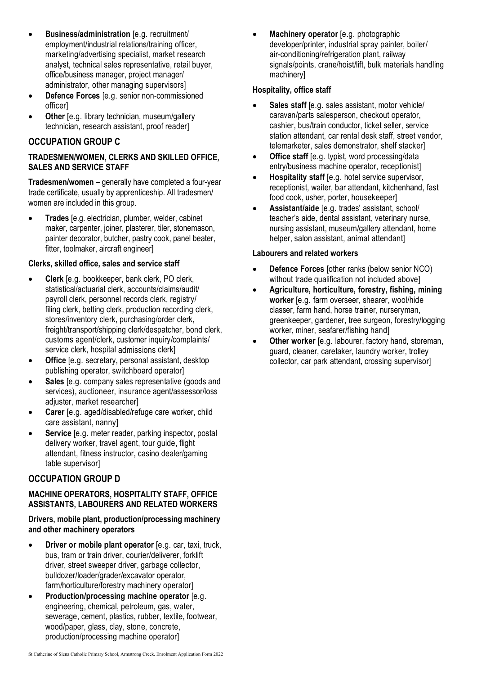- Business/administration [e.g. recruitment/ employment/industrial relations/training officer, marketing/advertising specialist, market research analyst, technical sales representative, retail buyer, office/business manager, project manager/ administrator, other managing supervisors]
- Defence Forces [e.g. senior non-commissioned officer]
- Other [e.g. library technician, museum/gallery technician, research assistant, proof reader]

## OCCUPATION GROUP C

### TRADESMEN/WOMEN, CLERKS AND SKILLED OFFICE, SALES AND SERVICE STAFF

Tradesmen/women – generally have completed a four-year trade certificate, usually by apprenticeship. All tradesmen/ women are included in this group.

• Trades [e.g. electrician, plumber, welder, cabinet maker, carpenter, joiner, plasterer, tiler, stonemason, painter decorator, butcher, pastry cook, panel beater, fitter, toolmaker, aircraft engineer]

### Clerks, skilled office, sales and service staff

- Clerk [e.g. bookkeeper, bank clerk, PO clerk, statistical/actuarial clerk, accounts/claims/audit/ payroll clerk, personnel records clerk, registry/ filing clerk, betting clerk, production recording clerk, stores/inventory clerk, purchasing/order clerk, freight/transport/shipping clerk/despatcher, bond clerk, customs agent/clerk, customer inquiry/complaints/ service clerk, hospital admissions clerk]
- Office [e.g. secretary, personal assistant, desktop publishing operator, switchboard operator]
- Sales [e.g. company sales representative (goods and services), auctioneer, insurance agent/assessor/loss adjuster, market researcher]
- Carer [e.g. aged/disabled/refuge care worker, child care assistant, nanny]
- Service [e.g. meter reader, parking inspector, postal delivery worker, travel agent, tour guide, flight attendant, fitness instructor, casino dealer/gaming table supervisor]

## OCCUPATION GROUP D

### MACHINE OPERATORS, HOSPITALITY STAFF, OFFICE ASSISTANTS, LABOURERS AND RELATED WORKERS

### Drivers, mobile plant, production/processing machinery and other machinery operators

- Driver or mobile plant operator [e.g. car, taxi, truck, bus, tram or train driver, courier/deliverer, forklift driver, street sweeper driver, garbage collector, bulldozer/loader/grader/excavator operator, farm/horticulture/forestry machinery operator]
- Production/processing machine operator [e.g. engineering, chemical, petroleum, gas, water, sewerage, cement, plastics, rubber, textile, footwear, wood/paper, glass, clay, stone, concrete, production/processing machine operator]

Machinery operator [e.g. photographic developer/printer, industrial spray painter, boiler/ air-conditioning/refrigeration plant, railway signals/points, crane/hoist/lift, bulk materials handling machinery]

### Hospitality, office staff

- Sales staff [e.g. sales assistant, motor vehicle/ caravan/parts salesperson, checkout operator, cashier, bus/train conductor, ticket seller, service station attendant, car rental desk staff, street vendor, telemarketer, sales demonstrator, shelf stacker]
- Office staff [e.g. typist, word processing/data entry/business machine operator, receptionist]
- Hospitality staff [e.g. hotel service supervisor, receptionist, waiter, bar attendant, kitchenhand, fast food cook, usher, porter, housekeeper]
- Assistant/aide [e.g. trades' assistant, school/ teacher's aide, dental assistant, veterinary nurse, nursing assistant, museum/gallery attendant, home helper, salon assistant, animal attendant

### Labourers and related workers

- Defence Forces [other ranks (below senior NCO) without trade qualification not included above]
- Agriculture, horticulture, forestry, fishing, mining worker [e.g. farm overseer, shearer, wool/hide classer, farm hand, horse trainer, nurseryman, greenkeeper, gardener, tree surgeon, forestry/logging worker, miner, seafarer/fishing hand]
- Other worker [e.g. labourer, factory hand, storeman, guard, cleaner, caretaker, laundry worker, trolley collector, car park attendant, crossing supervisor]